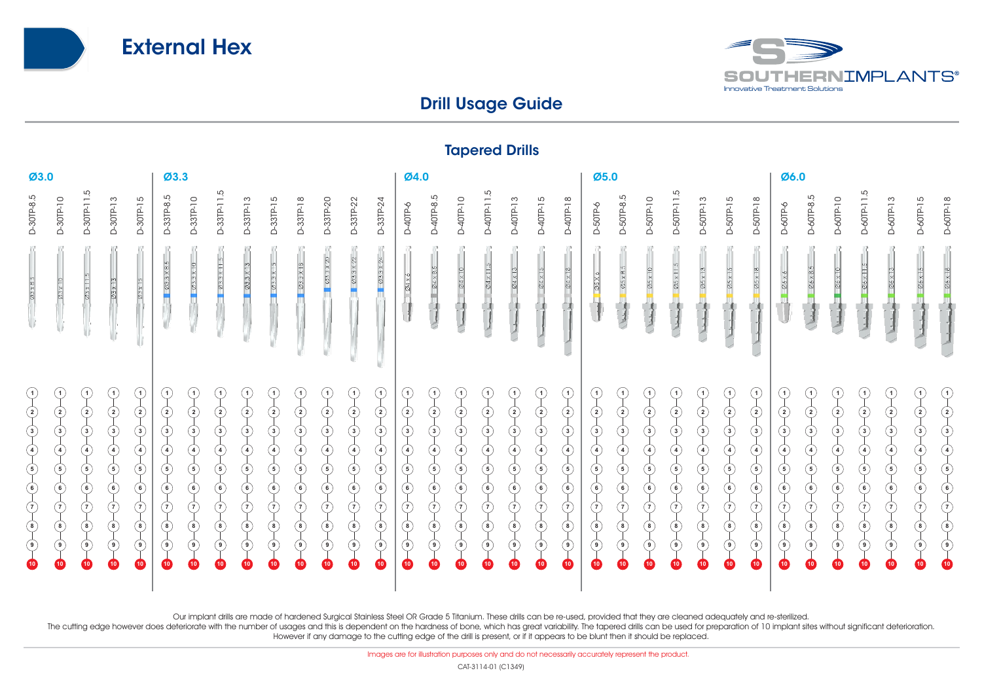



## Drill Usage Guide

|                                                                                                                                                                  |                                                                                                                                 |                                                                                              |                                                                                                                                                                            |                                                                                                                                                             |                                                                                                                                                                      |                                                                                                                                                                                                                                                                                                                                                                                                                                                                                 |                                                                                                                                                               |                                                                                                                                   |                                                                |                                                                                                                                                                                     |                                                                                                                                                                      |                                                                                                                                                                |                                                                                                                                                                             |                                                                                                                                                                              |                                                                                                                                                                                              |                                                                                                                                       | <b>Idheird Dillis</b>                                                                                                                                                                                        |                                                                                                                                           |                                                                                                                                                                                 |                                                                                                                                                  |                                                                                                                                                                                               |                                                                                                                                                                        |                                                                                                       |                                                                                                                                                                                    |                                                                                                                                                                      |                                                                                                                               |                                                                                                                                               |                                                                                                                                                            |                                                                                                                  |                                                                                                                                                                                                 |                                                                                                     |                                                                                                                               |                                                                                                                                                          |                                                                                                                                                                             |
|------------------------------------------------------------------------------------------------------------------------------------------------------------------|---------------------------------------------------------------------------------------------------------------------------------|----------------------------------------------------------------------------------------------|----------------------------------------------------------------------------------------------------------------------------------------------------------------------------|-------------------------------------------------------------------------------------------------------------------------------------------------------------|----------------------------------------------------------------------------------------------------------------------------------------------------------------------|---------------------------------------------------------------------------------------------------------------------------------------------------------------------------------------------------------------------------------------------------------------------------------------------------------------------------------------------------------------------------------------------------------------------------------------------------------------------------------|---------------------------------------------------------------------------------------------------------------------------------------------------------------|-----------------------------------------------------------------------------------------------------------------------------------|----------------------------------------------------------------|-------------------------------------------------------------------------------------------------------------------------------------------------------------------------------------|----------------------------------------------------------------------------------------------------------------------------------------------------------------------|----------------------------------------------------------------------------------------------------------------------------------------------------------------|-----------------------------------------------------------------------------------------------------------------------------------------------------------------------------|------------------------------------------------------------------------------------------------------------------------------------------------------------------------------|----------------------------------------------------------------------------------------------------------------------------------------------------------------------------------------------|---------------------------------------------------------------------------------------------------------------------------------------|--------------------------------------------------------------------------------------------------------------------------------------------------------------------------------------------------------------|-------------------------------------------------------------------------------------------------------------------------------------------|---------------------------------------------------------------------------------------------------------------------------------------------------------------------------------|--------------------------------------------------------------------------------------------------------------------------------------------------|-----------------------------------------------------------------------------------------------------------------------------------------------------------------------------------------------|------------------------------------------------------------------------------------------------------------------------------------------------------------------------|-------------------------------------------------------------------------------------------------------|------------------------------------------------------------------------------------------------------------------------------------------------------------------------------------|----------------------------------------------------------------------------------------------------------------------------------------------------------------------|-------------------------------------------------------------------------------------------------------------------------------|-----------------------------------------------------------------------------------------------------------------------------------------------|------------------------------------------------------------------------------------------------------------------------------------------------------------|------------------------------------------------------------------------------------------------------------------|-------------------------------------------------------------------------------------------------------------------------------------------------------------------------------------------------|-----------------------------------------------------------------------------------------------------|-------------------------------------------------------------------------------------------------------------------------------|----------------------------------------------------------------------------------------------------------------------------------------------------------|-----------------------------------------------------------------------------------------------------------------------------------------------------------------------------|
| Ø3.0                                                                                                                                                             |                                                                                                                                 |                                                                                              |                                                                                                                                                                            | Ø3.3                                                                                                                                                        |                                                                                                                                                                      |                                                                                                                                                                                                                                                                                                                                                                                                                                                                                 |                                                                                                                                                               |                                                                                                                                   |                                                                |                                                                                                                                                                                     | Ø4.0                                                                                                                                                                 |                                                                                                                                                                |                                                                                                                                                                             |                                                                                                                                                                              |                                                                                                                                                                                              |                                                                                                                                       | Ø5.0                                                                                                                                                                                                         |                                                                                                                                           |                                                                                                                                                                                 |                                                                                                                                                  |                                                                                                                                                                                               |                                                                                                                                                                        | Ø6.0                                                                                                  |                                                                                                                                                                                    |                                                                                                                                                                      |                                                                                                                               |                                                                                                                                               |                                                                                                                                                            |                                                                                                                  |                                                                                                                                                                                                 |                                                                                                     |                                                                                                                               |                                                                                                                                                          |                                                                                                                                                                             |
| D-30TP-8.5                                                                                                                                                       | D-30TP-10                                                                                                                       | بت<br>D-30TP-11                                                                              | D-30TP-13                                                                                                                                                                  | D-30TP-15                                                                                                                                                   | ပ<br>D-33TP-8.                                                                                                                                                       | D-33TP-10                                                                                                                                                                                                                                                                                                                                                                                                                                                                       | 5<br>D-33TP-11                                                                                                                                                | D-33TP-13                                                                                                                         | D-33TP-15                                                      | D-33TP-18                                                                                                                                                                           | D-33TP-20                                                                                                                                                            | D-33TP-22                                                                                                                                                      | D-33TP-24                                                                                                                                                                   | D-40TP-6                                                                                                                                                                     | 5<br>D-40TP-8.                                                                                                                                                                               | D-40TP-10                                                                                                                             | D-40TP-11.5                                                                                                                                                                                                  | D-40TP-13                                                                                                                                 | D-40TP-15                                                                                                                                                                       | D-40TP-18                                                                                                                                        | D-50TP-6                                                                                                                                                                                      | 5<br>D-50TP-8.                                                                                                                                                         | D-50TP-10                                                                                             | D-50TP-11.5                                                                                                                                                                        | D-50TP-13                                                                                                                                                            | D-50TP-15                                                                                                                     | D-50TP-18                                                                                                                                     | <b>D-60TP-6</b>                                                                                                                                            | 5<br>D-60TP-8.                                                                                                   | D-60TP-10                                                                                                                                                                                       | D-60TP-11.5                                                                                         | D-60TP-13                                                                                                                     | D-60TP-15                                                                                                                                                | D-60TP-18                                                                                                                                                                   |
| $03 \times 8.5$                                                                                                                                                  | Ø3 x 10                                                                                                                         | Ø3 x 11.5                                                                                    | $03 \times 13$                                                                                                                                                             | $03 \times 15$                                                                                                                                              | $Q3.3\times8.5$                                                                                                                                                      | $\overline{\phantom{1}}$ $\overline{\phantom{1}}$ $\overline{\phantom{1}}$ $\overline{\phantom{1}}$ $\overline{\phantom{1}}$ $\overline{\phantom{1}}$ $\overline{\phantom{1}}$ $\overline{\phantom{1}}$ $\overline{\phantom{1}}$ $\overline{\phantom{1}}$ $\overline{\phantom{1}}$ $\overline{\phantom{1}}$ $\overline{\phantom{1}}$ $\overline{\phantom{1}}$ $\overline{\phantom{1}}$ $\overline{\phantom{1}}$ $\overline{\phantom{1}}$ $\overline{\phantom{1}}$ $\overline{\$ | $1023 \times 11.5$                                                                                                                                            |                                                                                                                                   | $03.3 \times 15$                                               |                                                                                                                                                                                     | Ø3.3 X 20                                                                                                                                                            | $\varnothing$ 3 × 22                                                                                                                                           | $03.3\times24$                                                                                                                                                              | $04 \times 6$                                                                                                                                                                | $\mathcal{Q} \subseteq \times 8$                                                                                                                                                             | $\varnothing$ 4 x 10                                                                                                                  | $04 \times 11$                                                                                                                                                                                               | $\varnothing$ 4 x 13                                                                                                                      | $C\angle \times 15$                                                                                                                                                             | $04 \times 18$                                                                                                                                   | 25X6                                                                                                                                                                                          | $\mathcal{O}5 \times 8.5$                                                                                                                                              | Ø5 x 10                                                                                               | $\frac{25 \times 11}{2}$                                                                                                                                                           | Ø5 x 13                                                                                                                                                              | Ø5 x 15                                                                                                                       | $25 \times 18$                                                                                                                                | $\mathcal{Q}6 \times 6$                                                                                                                                    | $\frac{66 \times 8.5}{6}$                                                                                        | $\emptyset$                                                                                                                                                                                     |                                                                                                     | $\varnothing6\times13$                                                                                                        | $\mathcal{Q6} \times 15$                                                                                                                                 |                                                                                                                                                                             |
| $\bigodot$<br>$\large \textcircled{\small 2}$<br>$\overline{\varphi}$<br>$\bigoplus$<br>$\bigoplus$<br>$\bigcirc$<br>$\bigcirc$<br>$\bigcirc$<br>$\bigcirc$<br>⊕ | $\left( 2\right)$<br>$\circled{3}$<br>$\left( 4\right)$<br>(5)<br>$\rm ^{(6)}$<br>(7)<br>$(\bf{8})$<br>( ၅ )<br>10 <sup>1</sup> | (2)<br>$\circled{3}$<br>(4)<br>(5)<br>$\odot$<br>$\left(7\right)$<br>(8)<br>(9)<br>$\bullet$ | $\vert$ 1<br>$\rm(2)$<br>$\odot$<br>$\circled{4}$<br>$\circled{5}$<br>$_{\copyright}$<br>ဂ<br>$^\circledR$<br>$\textcircled{\scriptsize\textsf{I}}$<br>$\boldsymbol{\Phi}$ | (1)<br>$\bf (2)$<br>3)<br>$\mathbf{A}$<br>$\left( 5\right)$<br>(6)<br>$\left(7\right)$<br>$\circledS$<br>$\textcircled{\scriptsize\textsf{I}}$<br>$\bullet$ | (1)<br>$\circled{2}$<br>$\odot$<br>$\bigcirc$<br>$\circled{5}$<br>$_{\copyright}$<br>$_{\textcircled{\scriptsize{1}}}$<br>$\circledS$<br>$\circledcirc$<br>$\bullet$ | (1)<br>$\rm(2)$<br>$\odot$<br>$\circled{4}$<br>$\circled{5}$<br>$\circledast$<br>(7)<br>$\circledS$<br>$\circledcirc$<br>(10)                                                                                                                                                                                                                                                                                                                                                   | $\left( 1\right)$<br>$\circled{2}$<br>Ç<br>♦<br>$\circled{\scriptstyle \downarrow}$<br>$\circlede$<br>⊙<br>$\circledast$<br>$\circledcirc$<br>10 <sup>1</sup> | $\circled{2}$<br>$\circled{3}$<br>(4)<br>$\circled{\scriptstyle \bullet}$<br>᠖<br>(7)<br>$^\circledR$<br>( ၁ )<br>10 <sup>1</sup> | (2)<br>(3)<br>(4)<br>(5)<br>(6)<br>(7)<br>(8)<br>( 9 )<br>(10) | $\mathbf{1}$<br>$\left( \, \textsf{z} \, \right)$<br>$\left(3\right)$<br>$\left( 4\right)$<br>$\left( 5\right)$<br>(6)<br>(7)<br>$\circledast$<br>$(\mathsf{s})$<br>$\overline{10}$ | $\left( 2\right)$<br>$\left(3\right)$<br>$\left( 4\right)$<br>$\ddot{\bm{5}}$<br>$\left( 6\right)$<br>(7)<br>$\circledast$<br>$\hat{\mathcal{S}}$<br>$\overline{10}$ | (1)<br>$\circled{2}$<br>$\circled{\scriptstyle\downarrow}$<br>$\bigcirc$<br>$\circledS$<br>$\circledcirc$<br>⊙<br>$\circledast$<br>$\circledcirc$<br>$\bullet$ | (1)<br>$\circled{2}$<br>$\odot$<br>$\bigcirc$<br>$\circled{5}$<br>$\left( \begin{matrix} 6 \end{matrix} \right)$<br>$\binom{7}{ }$<br>$\circled{6}$<br>$\odot$<br>$\bullet$ | (1)<br>$\circled{2}$<br>$\odot$<br>$\bigcirc$<br>$\circled{5}$<br>$\odot$<br>$\left( \overline{\mathbf{r}}\right)$<br>$\circledcirc$<br>$\circled{0}$<br>$\left( 10 \right)$ | $\left( 1 \right)$<br>$\left( 2\right)$<br>$\odot$<br>$\circledast$<br>$\circledS$<br>$\circled{\scriptstyle\bullet}$<br>ြ)<br>$\circled{\scriptstyle\bullet}$<br>$\circ$<br>10 <sup>2</sup> | (1)<br>$\left( 2\right)$<br>$\circled{3}$<br>$\bigodot$<br>$\odot$<br>$\odot$<br>(7)<br>$\circled{6}$<br>( 9 )<br>$\left( 10 \right)$ | 1)<br>$\left( \, \textsf{2} \, \right)$<br>$\circled{3}$<br>$\left( 4\right)$<br>$\left( 5\right)$<br>$\circled{\scriptstyle\bullet}$<br>(7)<br>$\circled{\scriptstyle\circ}$<br>$(\mathbf{s})$<br><b>40</b> | $\mathbf{1}$<br>$\left( 2\right)$<br>$\Large 3$<br>$\bigcirc$<br>$\odot$<br>$\bigcirc$<br>ြ<br>$\circledast$<br>$\hat{\mathcal{O}}$<br>40 | (1)<br>$\circled{2}$<br>☉<br>$\bigcirc$<br>$\circledS$<br>$\circled{\scriptstyle\bullet}$<br>$\left( \widehat{\mathbf{r}}\right)$<br>$\circledS$<br>$\circledcirc$<br>$\bullet$ | (1)<br>$\circled{2}$<br>$\circledcirc$<br>$\bigodot$<br>$\bigodot$<br>$\odot$<br>$\bigcirc$<br>$\overline{\odot}$<br>$\circledcirc$<br>$\bullet$ | $\left  \right $<br>$\circled{2}$<br>$\bigodot$<br>$\circled{4}$<br>$\circled{5}$<br>$\circled{\scriptstyle\bullet}$<br>$\left( \tau \right)$<br>$\circled{6}$<br>$(\mathsf{s})$<br>$\bullet$ | $\rm (2)$<br>$\circled{3}$<br>$\left( 4\right)$<br>$\circled{5}$<br>$\circled{\scriptstyle\bullet}$<br>(7)<br>$\circled{\scriptstyle\mathsf{8}}$<br>( 9 )<br>$\bullet$ | (1)<br>(2)<br>$\binom{3}{}$<br>(4)<br>(5)<br>(6)<br>(7)<br>(8)<br>(9)<br>$\left( \frac{1}{2} \right)$ | $\left( 1 \right)$<br>$\left( 2\right)$<br>$\odot$<br>$\circledast$<br>$\left( 5\right)$<br>(6)<br>(7)<br>$\circled{\scriptstyle\bullet}$<br>$(\mathbf{s})$<br>$\left( 10 \right)$ | $\left( 1\right)$<br>$\rm(2)$<br>ك<br>$\circledast$<br>$\circledast$<br>$\left( \text{\bf 6}\right)$<br>(7)<br>$\circledast$<br>$\circledast$<br>$\left( 10 \right)$ | (1)<br>$\circled{2}$<br>$\odot$<br>$\bigcirc$<br>$\bigcirc$<br>$\circledcirc$<br>⊙<br>$\circled{6}$<br>$\circledcirc$<br>(10) | (1)<br>$\circled{2}$<br>$\odot$<br>$\circled{4}$<br>$\circledS$<br>$\circledbullet$<br>ဂ)<br>$\circledS$<br>$\circledcirc$<br>$\overline{10}$ | $\left( 1 \right)$<br>$\circled{2}$<br>$\odot$<br>♦<br>$\circled{5}$<br>$\circlede$<br>$(\widehat{\phantom{a}})$<br>$\circledS$<br>( ၁ )<br>$\blacksquare$ | (2)<br>$\circled{3}$<br>(4)<br>(5)<br>$\circled{\scriptstyle\bullet}$<br>(7)<br>$(\bf{8})$<br>( 9 )<br>$\bullet$ | $\mathbf{1}$<br>$\left( \, \textsf{2} \, \right)$<br>$\circled{3}$<br>$\circled{4}$<br>$\left( 5\right)$<br>$\circled{\scriptstyle\bullet}$<br>(7)<br>$\circledS$<br>$\circledast$<br>$\bullet$ | $\bf (2)$<br>ك<br>$\bigcirc$<br>$\odot$<br>$\odot$<br>$\left(7\right)$<br>◉<br>$\odot$<br><b>40</b> | $\circled{2}$<br>$\bigodot$<br>$\bigcirc$<br>⑤<br>$\circled{\scriptstyle\bullet}$<br>ဂ)<br>$\bigcirc$<br>$\circledcirc$<br>40 | $\raisebox{.5pt}{(2)}$<br>$\ddot{\odot}$<br>$\bigcirc$<br>$\circled{\scriptstyle \downarrow}$<br>$\copyright$<br>$\bigcirc$<br>◉<br>$\odot$<br><b>10</b> | $\begin{pmatrix} 1 \end{pmatrix}$<br>$\circled{2}$<br>$\odot$<br>$\circled{4}$<br>$\bigcirc$<br>$\copyright$<br>$\bigodot$<br>$\circledcirc$<br>$\circledcirc$<br>$\bullet$ |

Tapered Drills

Our implant drills are made of hardened Surgical Stainless Steel OR Grade 5 Titanium. These drills can be re-used, provided that they are cleaned adequately and re-sterilized.

The cutting edge however does deteriorate with the number of usages and this is dependent on the hardness of bone, which has great variability. The tapered drills can be used for preparation of 10 implant sites without sig However if any damage to the cutting edge of the drill is present, or if it appears to be blunt then it should be replaced.